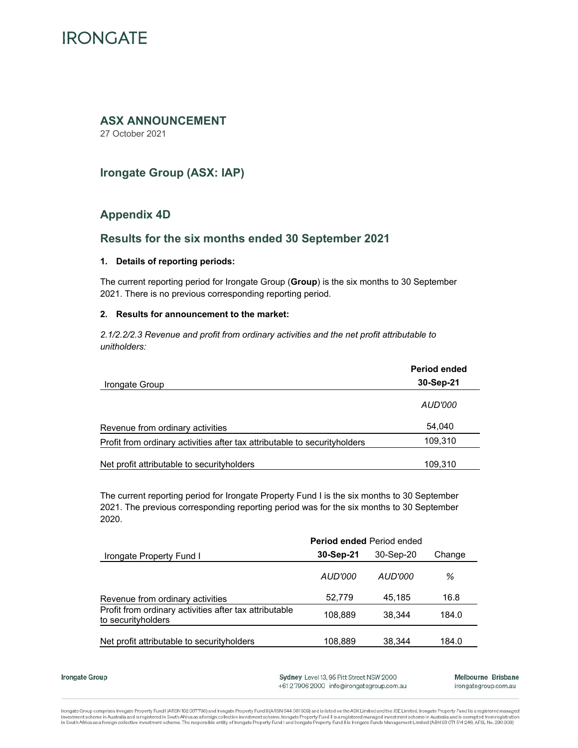# **IRONGATE**

# **ASX ANNOUNCEMENT**

27 October 2021

# **Irongate Group (ASX: IAP)**

# **Appendix 4D**

# **Results for the six months ended 30 September 2021**

# **1. Details of reporting periods:**

The current reporting period for Irongate Group (**Group**) is the six months to 30 September 2021. There is no previous corresponding reporting period.

# **2. Results for announcement to the market:**

*2.1/2.2/2.3 Revenue and profit from ordinary activities and the net profit attributable to unitholders:* 

|                                                                            | <b>Period ended</b> |
|----------------------------------------------------------------------------|---------------------|
| Irongate Group                                                             | 30-Sep-21           |
|                                                                            | AUD'000             |
| Revenue from ordinary activities                                           | 54,040              |
| Profit from ordinary activities after tax attributable to security holders | 109,310             |
| Net profit attributable to security holders                                | 109,310             |

The current reporting period for Irongate Property Fund I is the six months to 30 September 2021. The previous corresponding reporting period was for the six months to 30 September 2020.

|                                                                               | <b>Period ended Period ended</b> |           |        |
|-------------------------------------------------------------------------------|----------------------------------|-----------|--------|
| Irongate Property Fund I                                                      | 30-Sep-21                        | 30-Sep-20 | Change |
|                                                                               | AUD'000                          | AUD'000   | ℅      |
| Revenue from ordinary activities                                              | 52.779                           | 45.185    | 16.8   |
| Profit from ordinary activities after tax attributable<br>to security holders | 108.889                          | 38.344    | 184.0  |
| Net profit attributable to security holders                                   | 108.889                          | 38.344    | 184.0  |

Irongate Group

Sydney Level 13, 95 Pitt Street NSW 2000 +612 7906 2000 info@irongategroup.com.au Melbourne Brisbane irongategroup.com.au

Irongate Group comprises Irongate Property Fund I (ARSN 162 067736) and Irongate Property Fund II (ARSN 644 081 309) and is listed on the ASX Limited and the JSE Limited. Irongate Property Fund I is a registered managed investment scheme in Australia and is registered in South Africa as a foreign collective investment scheme. Irongate Property Fund II is a registered managed investment scheme in Australia and is exempted from registration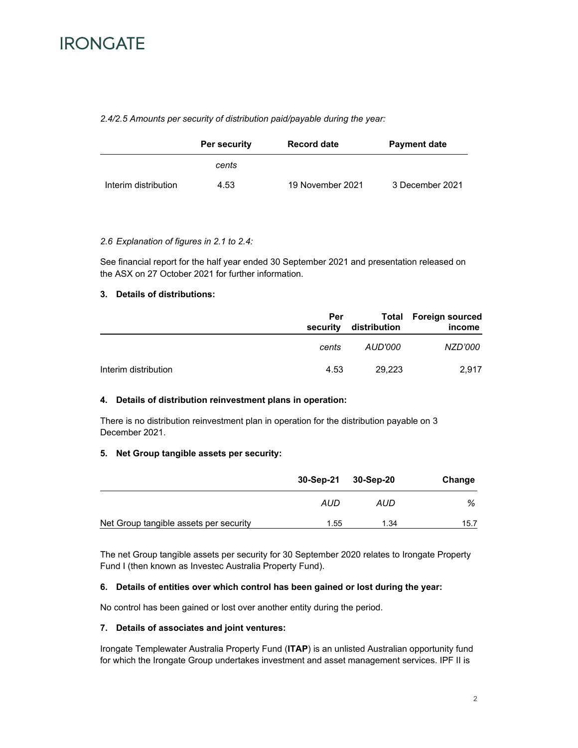

## *2.4/2.5 Amounts per security of distribution paid/payable during the year:*

|                      | Per security | <b>Record date</b> | <b>Payment date</b> |
|----------------------|--------------|--------------------|---------------------|
|                      | cents        |                    |                     |
| Interim distribution | 4.53         | 19 November 2021   | 3 December 2021     |

## *2.6 Explanation of figures in 2.1 to 2.4:*

See financial report for the half year ended 30 September 2021 and presentation released on the ASX on 27 October 2021 for further information.

# **3. Details of distributions:**

|                      | Per<br>security | distribution | <b>Total Foreign sourced</b><br>income |
|----------------------|-----------------|--------------|----------------------------------------|
|                      | cents           | AUD'000      | NZD'000                                |
| Interim distribution | 4.53            | 29.223       | 2.917                                  |

#### **4. Details of distribution reinvestment plans in operation:**

There is no distribution reinvestment plan in operation for the distribution payable on 3 December 2021.

#### **5. Net Group tangible assets per security:**

|                                        |      | 30-Sep-21 30-Sep-20 | Change |
|----------------------------------------|------|---------------------|--------|
|                                        | AUD  | AUD                 | ℅      |
| Net Group tangible assets per security | 1.55 | 1.34                | 15.7   |

The net Group tangible assets per security for 30 September 2020 relates to Irongate Property Fund I (then known as Investec Australia Property Fund).

# **6. Details of entities over which control has been gained or lost during the year:**

No control has been gained or lost over another entity during the period.

#### **7. Details of associates and joint ventures:**

Irongate Templewater Australia Property Fund (**ITAP**) is an unlisted Australian opportunity fund for which the Irongate Group undertakes investment and asset management services. IPF II is